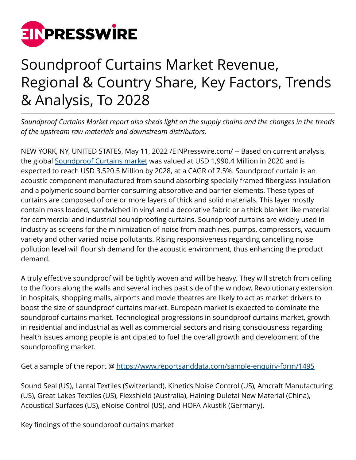

## Soundproof Curtains Market Revenue, Regional & Country Share, Key Factors, Trends & Analysis, To 2028

*Soundproof Curtains Market report also sheds light on the supply chains and the changes in the trends of the upstream raw materials and downstream distributors.*

NEW YORK, NY, UNITED STATES, May 11, 2022 [/EINPresswire.com](http://www.einpresswire.com)/ -- Based on current analysis, the global [Soundproof Curtains market](https://www.reportsanddata.com/report-detail/soundproof-curtains-market) was valued at USD 1,990.4 Million in 2020 and is expected to reach USD 3,520.5 Million by 2028, at a CAGR of 7.5%. Soundproof curtain is an acoustic component manufactured from sound absorbing specially framed fiberglass insulation and a polymeric sound barrier consuming absorptive and barrier elements. These types of curtains are composed of one or more layers of thick and solid materials. This layer mostly contain mass loaded, sandwiched in vinyl and a decorative fabric or a thick blanket like material for commercial and industrial soundproofing curtains. Soundproof curtains are widely used in industry as screens for the minimization of noise from machines, pumps, compressors, vacuum variety and other varied noise pollutants. Rising responsiveness regarding cancelling noise pollution level will flourish demand for the acoustic environment, thus enhancing the product demand.

A truly effective soundproof will be tightly woven and will be heavy. They will stretch from ceiling to the floors along the walls and several inches past side of the window. Revolutionary extension in hospitals, shopping malls, airports and movie theatres are likely to act as market drivers to boost the size of soundproof curtains market. European market is expected to dominate the soundproof curtains market. Technological progressions in soundproof curtains market, growth in residential and industrial as well as commercial sectors and rising consciousness regarding health issues among people is anticipated to fuel the overall growth and development of the soundproofing market.

Get a sample of the report @<https://www.reportsanddata.com/sample-enquiry-form/1495>

Sound Seal (US), Lantal Textiles (Switzerland), Kinetics Noise Control (US), Amcraft Manufacturing (US), Great Lakes Textiles (US), Flexshield (Australia), Haining Duletai New Material (China), Acoustical Surfaces (US), eNoise Control (US), and HOFA-Akustik (Germany).

Key findings of the soundproof curtains market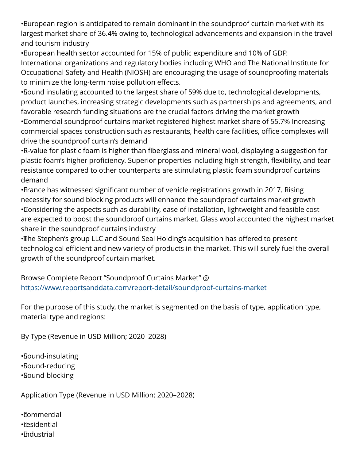• European region is anticipated to remain dominant in the soundproof curtain market with its largest market share of 36.4% owing to, technological advancements and expansion in the travel and tourism industry

• European health sector accounted for 15% of public expenditure and 10% of GDP. International organizations and regulatory bodies including WHO and The National Institute for Occupational Safety and Health (NIOSH) are encouraging the usage of soundproofing materials to minimize the long-term noise pollution effects.

• Sound insulating accounted to the largest share of 59% due to, technological developments, product launches, increasing strategic developments such as partnerships and agreements, and favorable research funding situations are the crucial factors driving the market growth

• Commercial soundproof curtains market registered highest market share of 55.7% Increasing commercial spaces construction such as restaurants, health care facilities, office complexes will drive the soundproof curtain's demand

• R-value for plastic foam is higher than fiberglass and mineral wool, displaying a suggestion for plastic foam's higher proficiency. Superior properties including high strength, flexibility, and tear resistance compared to other counterparts are stimulating plastic foam soundproof curtains demand

• Brance has witnessed significant number of vehicle registrations growth in 2017. Rising necessity for sound blocking products will enhance the soundproof curtains market growth • Considering the aspects such as durability, ease of installation, lightweight and feasible cost are expected to boost the soundproof curtains market. Glass wool accounted the highest market share in the soundproof curtains industry

• The Stephen's group LLC and Sound Seal Holding's acquisition has offered to present technological efficient and new variety of products in the market. This will surely fuel the overall growth of the soundproof curtain market.

Browse Complete Report "Soundproof Curtains Market" @ <https://www.reportsanddata.com/report-detail/soundproof-curtains-market>

For the purpose of this study, the market is segmented on the basis of type, application type, material type and regions:

By Type (Revenue in USD Million; 2020–2028)

• Sound-insulating • Sound-reducing • Sound-blocking

Application Type (Revenue in USD Million; 2020–2028)

• commercial • residential

• industrial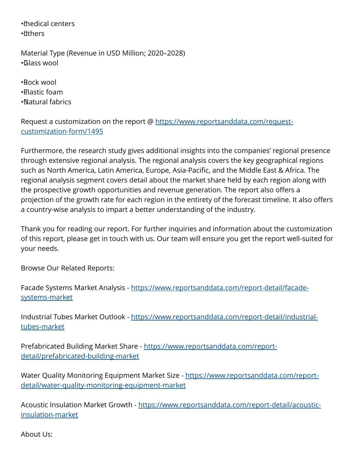• medical centers •*d***thers** 

Material Type (Revenue in USD Million; 2020–2028) • Glass wool

• Rock wool • Plastic foam • Natural fabrics

Request a customization on the report @ [https://www.reportsanddata.com/request](https://www.reportsanddata.com/request-customization-form/1495)[customization-form/1495](https://www.reportsanddata.com/request-customization-form/1495)

Furthermore, the research study gives additional insights into the companies' regional presence through extensive regional analysis. The regional analysis covers the key geographical regions such as North America, Latin America, Europe, Asia-Pacific, and the Middle East & Africa. The regional analysis segment covers detail about the market share held by each region along with the prospective growth opportunities and revenue generation. The report also offers a projection of the growth rate for each region in the entirety of the forecast timeline. It also offers a country-wise analysis to impart a better understanding of the industry.

Thank you for reading our report. For further inquiries and information about the customization of this report, please get in touch with us. Our team will ensure you get the report well-suited for your needs.

Browse Our Related Reports:

Facade Systems Market Analysis - [https://www.reportsanddata.com/report-detail/facade](https://www.reportsanddata.com/report-detail/facade-systems-market)[systems-market](https://www.reportsanddata.com/report-detail/facade-systems-market)

Industrial Tubes Market Outlook - [https://www.reportsanddata.com/report-detail/industrial](https://www.reportsanddata.com/report-detail/industrial-tubes-market)[tubes-market](https://www.reportsanddata.com/report-detail/industrial-tubes-market)

Prefabricated Building Market Share - [https://www.reportsanddata.com/report](https://www.reportsanddata.com/report-detail/prefabricated-building-market)[detail/prefabricated-building-market](https://www.reportsanddata.com/report-detail/prefabricated-building-market)

Water Quality Monitoring Equipment Market Size - [https://www.reportsanddata.com/report](https://www.reportsanddata.com/report-detail/water-quality-monitoring-equipment-market)[detail/water-quality-monitoring-equipment-market](https://www.reportsanddata.com/report-detail/water-quality-monitoring-equipment-market)

Acoustic Insulation Market Growth - [https://www.reportsanddata.com/report-detail/acoustic](https://www.reportsanddata.com/report-detail/acoustic-insulation-market)[insulation-market](https://www.reportsanddata.com/report-detail/acoustic-insulation-market)

About Us: